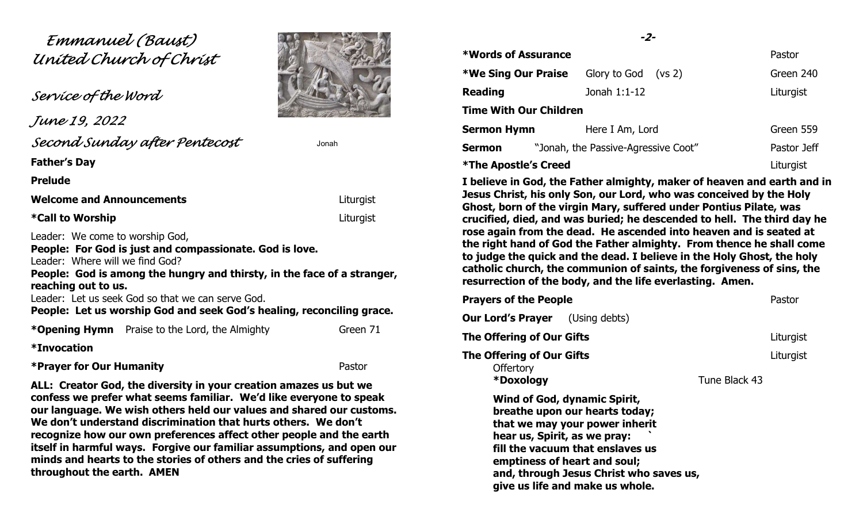# Emmanuel (Baust) United Church of Christ

Service of the Word

 June 19, 2022 Second Sunday after Pentecost Jonah

Father's Day

Prelude

Welcome and Announcements **Example 2018** Liturgist ľ

\*Call to Worship Liturgist

Leader: We come to worship God,

People: For God is just and compassionate. God is love. Leader: Where will we find God?

People: God is among the hungry and thirsty, in the face of a stranger, reaching out to us.

Leader: Let us seek God so that we can serve God.

People: Let us worship God and seek God's healing, reconciling grace.

\***Opening Hymn** Praise to the Lord, the Almighty Green 71

\*Invocation

\*Prayer for Our Humanity **Pastor** Pastor

ALL: Creator God, the diversity in your creation amazes us but we confess we prefer what seems familiar. We'd like everyone to speak our language. We wish others held our values and shared our customs. We don't understand discrimination that hurts others. We don't recognize how our own preferences affect other people and the earth itself in harmful ways. Forgive our familiar assumptions, and open our minds and hearts to the stories of others and the cries of suffering throughout the earth. AMEN

# -2-

| *Words of Assurance           |                                     | Pastor      |  |
|-------------------------------|-------------------------------------|-------------|--|
| <b>*We Sing Our Praise</b>    | Glory to God<br>(vs 2)              | Green 240   |  |
| <b>Reading</b>                | Jonah 1:1-12                        | Liturgist   |  |
| <b>Time With Our Children</b> |                                     |             |  |
| <b>Sermon Hymn</b>            | Here I Am, Lord                     | Green 559   |  |
| <b>Sermon</b>                 | "Jonah, the Passive-Agressive Coot" | Pastor Jeff |  |
| <b>*The Apostle's Creed</b>   |                                     | Liturgist   |  |

I believe in God, the Father almighty, maker of heaven and earth and in Jesus Christ, his only Son, our Lord, who was conceived by the Holy Ghost, born of the virgin Mary, suffered under Pontius Pilate, was crucified, died, and was buried; he descended to hell. The third day he rose again from the dead. He ascended into heaven and is seated at the right hand of God the Father almighty. From thence he shall come to judge the quick and the dead. I believe in the Holy Ghost, the holy catholic church, the communion of saints, the forgiveness of sins, the resurrection of the body, and the life everlasting. Amen.

| <b>Prayers of the People</b>                               |                                                                                                                                                                                                                                                    |               | Pastor    |
|------------------------------------------------------------|----------------------------------------------------------------------------------------------------------------------------------------------------------------------------------------------------------------------------------------------------|---------------|-----------|
| <b>Our Lord's Prayer</b>                                   | (Using debts)                                                                                                                                                                                                                                      |               |           |
| The Offering of Our Gifts                                  |                                                                                                                                                                                                                                                    |               | Liturgist |
| The Offering of Our Gifts<br><b>Offertory</b><br>*Doxology |                                                                                                                                                                                                                                                    | Tune Black 43 | Liturgist |
| hear us, Spirit, as we pray:                               | Wind of God, dynamic Spirit,<br>breathe upon our hearts today;<br>that we may your power inherit<br>fill the vacuum that enslaves us<br>emptiness of heart and soul;<br>and, through Jesus Christ who saves us,<br>give us life and make us whole. |               |           |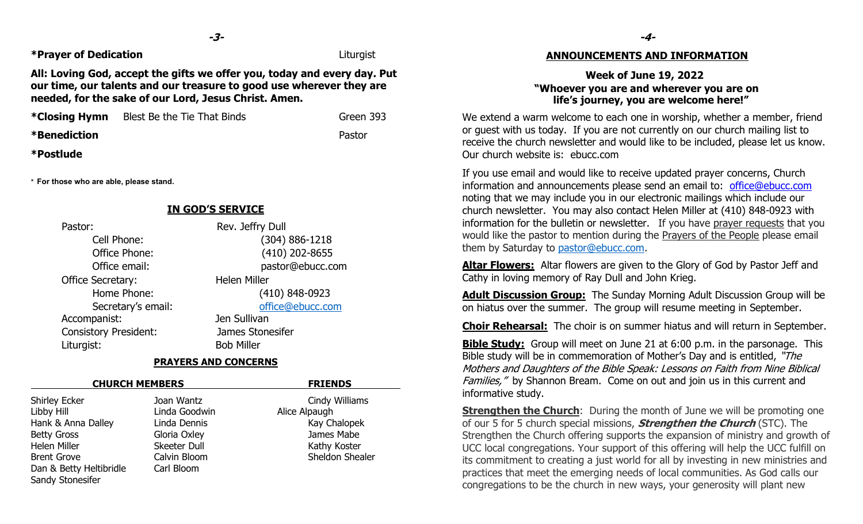\*Prayer of Dedication Liturgist

All: Loving God, accept the gifts we offer you, today and every day. Put our time, our talents and our treasure to good use wherever they are needed, for the sake of our Lord, Jesus Christ. Amen.

| *Closing Hymn       | Blest Be the Tie That Binds | Green 393 | W٥         |
|---------------------|-----------------------------|-----------|------------|
| <b>*Benediction</b> |                             | Pastor    | or<br>---- |

\*Postlude

\* For those who are able, please stand.

# Pastor: Rev. Jeffry Dull Cell Phone: (304) 886-1218 Office Phone: (410) 202-8655 Office email: pastor@ebucc.com Office Secretary: Helen Miller Home Phone: (410) 848-0923 Secretary's email: office@ebucc.com Accompanist: Jen Sullivan Consistory President: James Stonesifer Liturgist: Bob Miller

IN GOD'S SERVICE

#### PRAYERS AND CONCERNS

| <b>CHURCH MEMBERS</b>   |                     | <b>FRIENDS</b>  |  |  |
|-------------------------|---------------------|-----------------|--|--|
| <b>Shirley Ecker</b>    | Joan Wantz          | Cindy Williams  |  |  |
| Libby Hill              | Linda Goodwin       | Alice Alpaugh   |  |  |
| Hank & Anna Dalley      | Linda Dennis        | Kay Chalopek    |  |  |
| <b>Betty Gross</b>      | Gloria Oxley        | James Mabe      |  |  |
| Helen Miller            | <b>Skeeter Dull</b> | Kathy Koster    |  |  |
| <b>Brent Grove</b>      | Calvin Bloom        | Sheldon Shealer |  |  |
| Dan & Betty Heltibridle | Carl Bloom          |                 |  |  |
| Sandy Stonesifer        |                     |                 |  |  |

#### ANNOUNCEMENTS AND INFORMATION

## Week of June 19, 2022 "Whoever you are and wherever you are on life's journey, you are welcome here!"

We extend a warm welcome to each one in worship, whether a member, friend or guest with us today. If you are not currently on our church mailing list to receive the church newsletter and would like to be included, please let us know. Our church website is: ebucc.com

If you use email and would like to receive updated prayer concerns, Church information and announcements please send an email to: office@ebucc.com noting that we may include you in our electronic mailings which include our church newsletter. You may also contact Helen Miller at (410) 848-0923 with information for the bulletin or newsletter. If you have prayer requests that you would like the pastor to mention during the Prayers of the People please email them by Saturday to pastor@ebucc.com.

Altar Flowers: Altar flowers are given to the Glory of God by Pastor Jeff and Cathy in loving memory of Ray Dull and John Krieg.

Adult Discussion Group: The Sunday Morning Adult Discussion Group will be on hiatus over the summer. The group will resume meeting in September.

Choir Rehearsal: The choir is on summer hiatus and will return in September.

**Bible Study:** Group will meet on June 21 at 6:00 p.m. in the parsonage. This Bible study will be in commemoration of Mother's Day and is entitled, "The Mothers and Daughters of the Bible Speak: Lessons on Faith from Nine Biblical Families," by Shannon Bream. Come on out and join us in this current and informative study.

**Strengthen the Church**: During the month of June we will be promoting one of our 5 for 5 church special missions, **Strengthen the Church** (STC). The Strengthen the Church offering supports the expansion of ministry and growth of UCC local congregations. Your support of this offering will help the UCC fulfill on its commitment to creating a just world for all by investing in new ministries and practices that meet the emerging needs of local communities. As God calls our congregations to be the church in new ways, your generosity will plant new

-4-